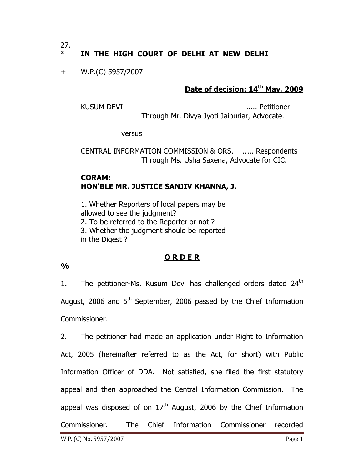$27.$ 

# IN THE HIGH COURT OF DELHI AT NEW DELHI

+ W.P.(C) 5957/2007

## **Date of decision: 14th May, 2009**

KUSUM DEVI ..... Petitioner Through Mr. Divya Jyoti Jaipuriar, Advocate.

versus

CENTRAL INFORMATION COMMISSION & ORS. ..... Respondents Through Ms. Usha Saxena, Advocate for CIC.

### **CORAM: HON'BLE MR. JUSTICE SANJIV KHANNA, J.**

1. Whether Reporters of local papers may be allowed to see the judgment? 2. To be referred to the Reporter or not ? 3. Whether the judgment should be reported in the Digest ?

#### **O R D E R**

**%** 

1. The petitioner-Ms. Kusum Devi has challenged orders dated 24<sup>th</sup> August, 2006 and 5<sup>th</sup> September, 2006 passed by the Chief Information Commissioner.

2. The petitioner had made an application under Right to Information Act, 2005 (hereinafter referred to as the Act, for short) with Public Information Officer of DDA. Not satisfied, she filed the first statutory appeal and then approached the Central Information Commission. The appeal was disposed of on  $17<sup>th</sup>$  August, 2006 by the Chief Information Commissioner. The Chief Information Commissioner recorded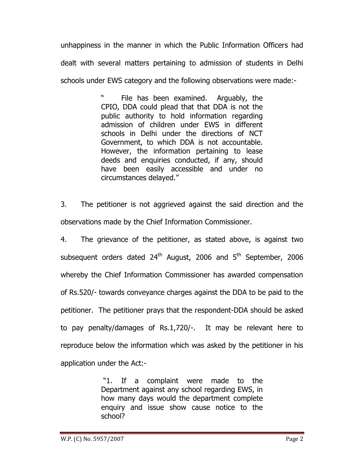unhappiness in the manner in which the Public Information Officers had dealt with several matters pertaining to admission of students in Delhi schools under EWS category and the following observations were made:-

> File has been examined. Arguably, the CPIO, DDA could plead that that DDA is not the public authority to hold information regarding admission of children under EWS in different schools in Delhi under the directions of NCT Government, to which DDA is not accountable. However, the information pertaining to lease deeds and enquiries conducted, if any, should have been easily accessible and under no circumstances delayed."

3. The petitioner is not aggrieved against the said direction and the observations made by the Chief Information Commissioner.

4. The grievance of the petitioner, as stated above, is against two subsequent orders dated  $24<sup>th</sup>$  August, 2006 and  $5<sup>th</sup>$  September, 2006 whereby the Chief Information Commissioner has awarded compensation of Rs.520/- towards conveyance charges against the DDA to be paid to the petitioner. The petitioner prays that the respondent-DDA should be asked to pay penalty/damages of Rs.1,720/-. It may be relevant here to reproduce below the information which was asked by the petitioner in his application under the Act:-

> "1. If a complaint were made to the Department against any school regarding EWS, in how many days would the department complete enquiry and issue show cause notice to the school?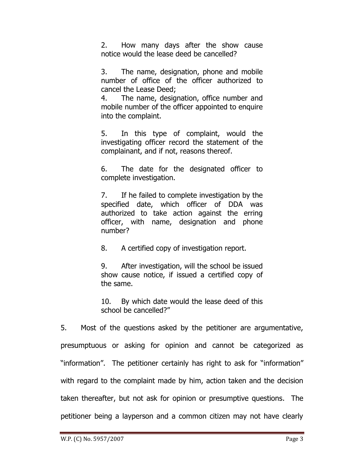2. How many days after the show cause notice would the lease deed be cancelled?

3. The name, designation, phone and mobile number of office of the officer authorized to cancel the Lease Deed;

4. The name, designation, office number and mobile number of the officer appointed to enquire into the complaint.

5. In this type of complaint, would the investigating officer record the statement of the complainant, and if not, reasons thereof.

6. The date for the designated officer to complete investigation.

7. If he failed to complete investigation by the specified date, which officer of DDA was authorized to take action against the erring officer, with name, designation and phone number?

8. A certified copy of investigation report.

9. After investigation, will the school be issued show cause notice, if issued a certified copy of the same.

10. By which date would the lease deed of this school be cancelled?"

5. Most of the questions asked by the petitioner are argumentative, presumptuous or asking for opinion and cannot be categorized as "information". The petitioner certainly has right to ask for "information" with regard to the complaint made by him, action taken and the decision taken thereafter, but not ask for opinion or presumptive questions. The petitioner being a layperson and a common citizen may not have clearly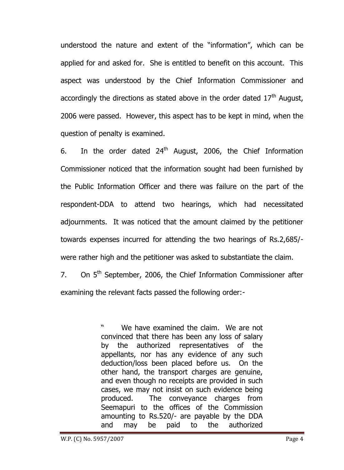understood the nature and extent of the "information", which can be applied for and asked for. She is entitled to benefit on this account. This aspect was understood by the Chief Information Commissioner and accordingly the directions as stated above in the order dated  $17<sup>th</sup>$  August, 2006 were passed. However, this aspect has to be kept in mind, when the question of penalty is examined.

6. In the order dated  $24<sup>th</sup>$  August, 2006, the Chief Information Commissioner noticed that the information sought had been furnished by the Public Information Officer and there was failure on the part of the respondent-DDA to attend two hearings, which had necessitated adjournments. It was noticed that the amount claimed by the petitioner towards expenses incurred for attending the two hearings of Rs.2,685/ were rather high and the petitioner was asked to substantiate the claim.

7. On  $5<sup>th</sup>$  September, 2006, the Chief Information Commissioner after examining the relevant facts passed the following order:-

> We have examined the claim. We are not convinced that there has been any loss of salary by the authorized representatives of the appellants, nor has any evidence of any such deduction/loss been placed before us. On the other hand, the transport charges are genuine, and even though no receipts are provided in such cases, we may not insist on such evidence being produced. The conveyance charges from Seemapuri to the offices of the Commission amounting to Rs.520/- are payable by the DDA and may be paid to the authorized